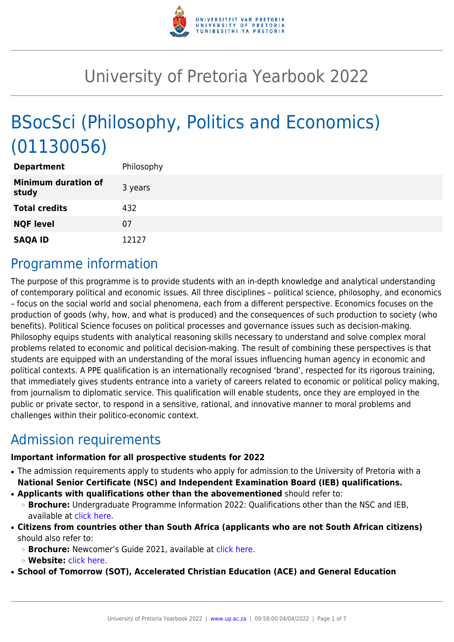

# University of Pretoria Yearbook 2022

# BSocSci (Philosophy, Politics and Economics) (01130056)

| <b>Department</b>                   | Philosophy |
|-------------------------------------|------------|
| <b>Minimum duration of</b><br>study | 3 years    |
| <b>Total credits</b>                | 432        |
| <b>NQF level</b>                    | 07         |
| <b>SAQA ID</b>                      | 12127      |

### Programme information

The purpose of this programme is to provide students with an in-depth knowledge and analytical understanding of contemporary political and economic issues. All three disciplines – political science, philosophy, and economics – focus on the social world and social phenomena, each from a different perspective. Economics focuses on the production of goods (why, how, and what is produced) and the consequences of such production to society (who benefits). Political Science focuses on political processes and governance issues such as decision-making. Philosophy equips students with analytical reasoning skills necessary to understand and solve complex moral problems related to economic and political decision-making. The result of combining these perspectives is that students are equipped with an understanding of the moral issues influencing human agency in economic and political contexts. A PPE qualification is an internationally recognised 'brand', respected for its rigorous training, that immediately gives students entrance into a variety of careers related to economic or political policy making, from journalism to diplomatic service. This qualification will enable students, once they are employed in the public or private sector, to respond in a sensitive, rational, and innovative manner to moral problems and challenges within their politico-economic context.

# Admission requirements

#### **Important information for all prospective students for 2022**

- The admission requirements apply to students who apply for admission to the University of Pretoria with a **National Senior Certificate (NSC) and Independent Examination Board (IEB) qualifications.**
- **Applicants with qualifications other than the abovementioned** should refer to:
- ❍ **Brochure:** Undergraduate Programme Information 2022: Qualifications other than the NSC and IEB, available at [click here.](https://www.up.ac.za/students/article/2749263/admission-information)
- **Citizens from countries other than South Africa (applicants who are not South African citizens)** should also refer to:
	- ❍ **Brochure:** Newcomer's Guide 2021, available at [click here.](https://www.up.ac.za/students/article/2749263/admission-information)
	- ❍ **Website:** [click here](http://www.up.ac.za/international-cooperation-division).

● **School of Tomorrow (SOT), Accelerated Christian Education (ACE) and General Education**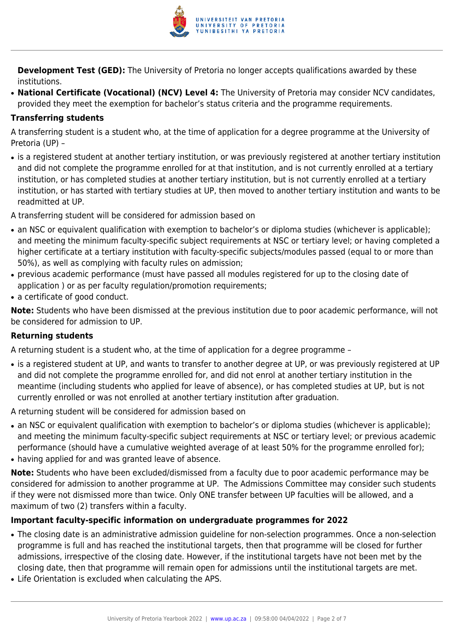

**Development Test (GED):** The University of Pretoria no longer accepts qualifications awarded by these institutions.

● **National Certificate (Vocational) (NCV) Level 4:** The University of Pretoria may consider NCV candidates, provided they meet the exemption for bachelor's status criteria and the programme requirements.

#### **Transferring students**

A transferring student is a student who, at the time of application for a degree programme at the University of Pretoria (UP) –

• is a registered student at another tertiary institution, or was previously registered at another tertiary institution and did not complete the programme enrolled for at that institution, and is not currently enrolled at a tertiary institution, or has completed studies at another tertiary institution, but is not currently enrolled at a tertiary institution, or has started with tertiary studies at UP, then moved to another tertiary institution and wants to be readmitted at UP.

A transferring student will be considered for admission based on

- an NSC or equivalent qualification with exemption to bachelor's or diploma studies (whichever is applicable); and meeting the minimum faculty-specific subject requirements at NSC or tertiary level; or having completed a higher certificate at a tertiary institution with faculty-specific subjects/modules passed (equal to or more than 50%), as well as complying with faculty rules on admission;
- previous academic performance (must have passed all modules registered for up to the closing date of application ) or as per faculty regulation/promotion requirements;
- a certificate of good conduct.

**Note:** Students who have been dismissed at the previous institution due to poor academic performance, will not be considered for admission to UP.

#### **Returning students**

A returning student is a student who, at the time of application for a degree programme –

• is a registered student at UP, and wants to transfer to another degree at UP, or was previously registered at UP and did not complete the programme enrolled for, and did not enrol at another tertiary institution in the meantime (including students who applied for leave of absence), or has completed studies at UP, but is not currently enrolled or was not enrolled at another tertiary institution after graduation.

A returning student will be considered for admission based on

- an NSC or equivalent qualification with exemption to bachelor's or diploma studies (whichever is applicable); and meeting the minimum faculty-specific subject requirements at NSC or tertiary level; or previous academic performance (should have a cumulative weighted average of at least 50% for the programme enrolled for);
- having applied for and was granted leave of absence.

**Note:** Students who have been excluded/dismissed from a faculty due to poor academic performance may be considered for admission to another programme at UP. The Admissions Committee may consider such students if they were not dismissed more than twice. Only ONE transfer between UP faculties will be allowed, and a maximum of two (2) transfers within a faculty.

#### **Important faculty-specific information on undergraduate programmes for 2022**

- The closing date is an administrative admission guideline for non-selection programmes. Once a non-selection programme is full and has reached the institutional targets, then that programme will be closed for further admissions, irrespective of the closing date. However, if the institutional targets have not been met by the closing date, then that programme will remain open for admissions until the institutional targets are met.
- Life Orientation is excluded when calculating the APS.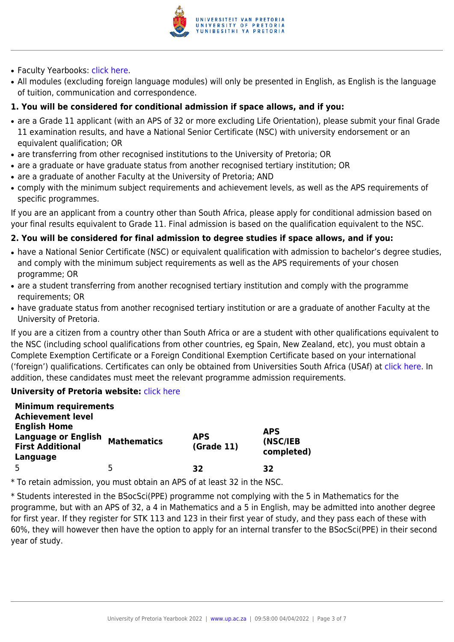

- Faculty Yearbooks: [click here](http://www.up.ac.za/yearbooks/home).
- All modules (excluding foreign language modules) will only be presented in English, as English is the language of tuition, communication and correspondence.

#### **1. You will be considered for conditional admission if space allows, and if you:**

- are a Grade 11 applicant (with an APS of 32 or more excluding Life Orientation), please submit your final Grade 11 examination results, and have a National Senior Certificate (NSC) with university endorsement or an equivalent qualification; OR
- are transferring from other recognised institutions to the University of Pretoria; OR
- are a graduate or have graduate status from another recognised tertiary institution; OR
- are a graduate of another Faculty at the University of Pretoria; AND
- comply with the minimum subject requirements and achievement levels, as well as the APS requirements of specific programmes.

If you are an applicant from a country other than South Africa, please apply for conditional admission based on your final results equivalent to Grade 11. Final admission is based on the qualification equivalent to the NSC.

#### **2. You will be considered for final admission to degree studies if space allows, and if you:**

- have a National Senior Certificate (NSC) or equivalent qualification with admission to bachelor's degree studies, and comply with the minimum subject requirements as well as the APS requirements of your chosen programme; OR
- are a student transferring from another recognised tertiary institution and comply with the programme requirements; OR
- have graduate status from another recognised tertiary institution or are a graduate of another Faculty at the University of Pretoria.

If you are a citizen from a country other than South Africa or are a student with other qualifications equivalent to the NSC (including school qualifications from other countries, eg Spain, New Zealand, etc), you must obtain a Complete Exemption Certificate or a Foreign Conditional Exemption Certificate based on your international ('foreign') qualifications. Certificates can only be obtained from Universities South Africa (USAf) at [click here](http://www.mb.usaf.ac.za). In addition, these candidates must meet the relevant programme admission requirements.

#### **University of Pretoria website: [click here](http://www.up.ac.za/faculty-of-humanities)**

| <b>Minimum requirements</b><br><b>Achievement level</b>                                  |                    |                          |                                      |
|------------------------------------------------------------------------------------------|--------------------|--------------------------|--------------------------------------|
| <b>English Home</b><br><b>Language or English</b><br><b>First Additional</b><br>Language | <b>Mathematics</b> | <b>APS</b><br>(Grade 11) | <b>APS</b><br>(NSC/IEB<br>completed) |
| 5                                                                                        | 5                  | 32                       | 32                                   |

\* To retain admission, you must obtain an APS of at least 32 in the NSC.

\* Students interested in the BSocSci(PPE) programme not complying with the 5 in Mathematics for the programme, but with an APS of 32, a 4 in Mathematics and a 5 in English, may be admitted into another degree for first year. If they register for STK 113 and 123 in their first year of study, and they pass each of these with 60%, they will however then have the option to apply for an internal transfer to the BSocSci(PPE) in their second year of study.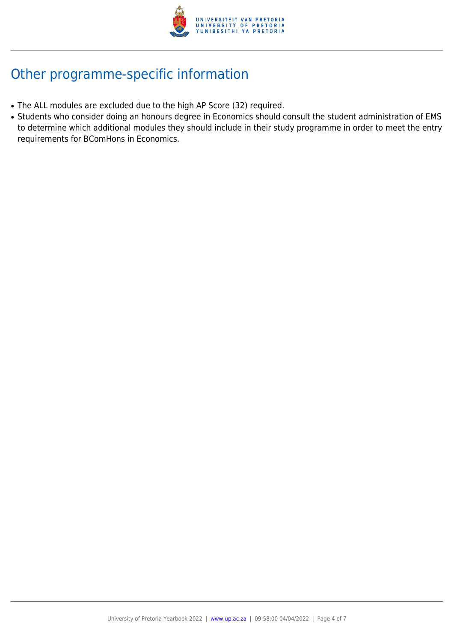

# Other programme-specific information

- The ALL modules are excluded due to the high AP Score (32) required.
- Students who consider doing an honours degree in Economics should consult the student administration of EMS to determine which additional modules they should include in their study programme in order to meet the entry requirements for BComHons in Economics.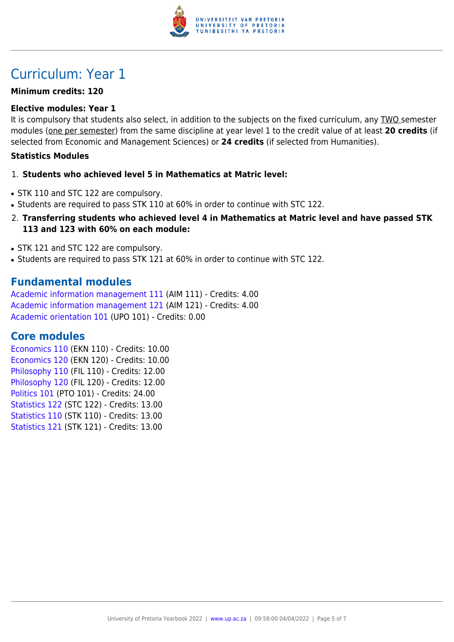

## Curriculum: Year 1

#### **Minimum credits: 120**

#### **Elective modules: Year 1**

It is compulsory that students also select, in addition to the subjects on the fixed curriculum, any TWO semester modules (one per semester) from the same discipline at year level 1 to the credit value of at least **20 credits** (if selected from Economic and Management Sciences) or **24 credits** (if selected from Humanities).

#### **Statistics Modules**

#### 1. **Students who achieved level 5 in Mathematics at Matric level:**

- STK 110 and STC 122 are compulsory.
- Students are required to pass STK 110 at 60% in order to continue with STC 122.
- 2. **Transferring students who achieved level 4 in Mathematics at Matric level and have passed STK 113 and 123 with 60% on each module:**
- STK 121 and STC 122 are compulsory.
- Students are required to pass STK 121 at 60% in order to continue with STC 122.

### **Fundamental modules**

[Academic information management 111](https://www.up.ac.za/yearbooks/2022/modules/view/AIM 111) (AIM 111) - Credits: 4.00 [Academic information management 121](https://www.up.ac.za/yearbooks/2022/modules/view/AIM 121) (AIM 121) - Credits: 4.00 [Academic orientation 101](https://www.up.ac.za/yearbooks/2022/modules/view/UPO 101) (UPO 101) - Credits: 0.00

### **Core modules**

[Economics 110](https://www.up.ac.za/yearbooks/2022/modules/view/EKN 110) (EKN 110) - Credits: 10.00 [Economics 120](https://www.up.ac.za/yearbooks/2022/modules/view/EKN 120) (EKN 120) - Credits: 10.00 [Philosophy 110](https://www.up.ac.za/yearbooks/2022/modules/view/FIL 110) (FIL 110) - Credits: 12.00 [Philosophy 120](https://www.up.ac.za/yearbooks/2022/modules/view/FIL 120) (FIL 120) - Credits: 12.00 [Politics 101](https://www.up.ac.za/yearbooks/2022/modules/view/PTO 101) (PTO 101) - Credits: 24.00 [Statistics 122](https://www.up.ac.za/yearbooks/2022/modules/view/STC 122) (STC 122) - Credits: 13.00 [Statistics 110](https://www.up.ac.za/yearbooks/2022/modules/view/STK 110) (STK 110) - Credits: 13.00 [Statistics 121](https://www.up.ac.za/yearbooks/2022/modules/view/STK 121) (STK 121) - Credits: 13.00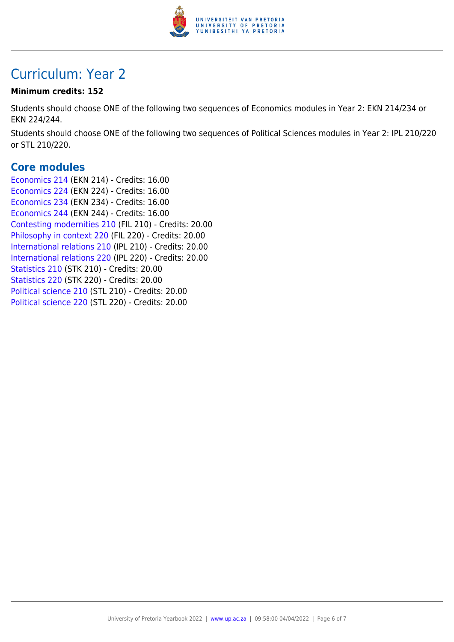

## Curriculum: Year 2

#### **Minimum credits: 152**

Students should choose ONE of the following two sequences of Economics modules in Year 2: EKN 214/234 or EKN 224/244.

Students should choose ONE of the following two sequences of Political Sciences modules in Year 2: IPL 210/220 or STL 210/220.

### **Core modules**

[Economics 214](https://www.up.ac.za/yearbooks/2022/modules/view/EKN 214) (EKN 214) - Credits: 16.00 [Economics 224](https://www.up.ac.za/yearbooks/2022/modules/view/EKN 224) (EKN 224) - Credits: 16.00 [Economics 234](https://www.up.ac.za/yearbooks/2022/modules/view/EKN 234) (EKN 234) - Credits: 16.00 [Economics 244](https://www.up.ac.za/yearbooks/2022/modules/view/EKN 244) (EKN 244) - Credits: 16.00 [Contesting modernities 210](https://www.up.ac.za/yearbooks/2022/modules/view/FIL 210) (FIL 210) - Credits: 20.00 [Philosophy in context 220](https://www.up.ac.za/yearbooks/2022/modules/view/FIL 220) (FIL 220) - Credits: 20.00 [International relations 210](https://www.up.ac.za/yearbooks/2022/modules/view/IPL 210) (IPL 210) - Credits: 20.00 [International relations 220](https://www.up.ac.za/yearbooks/2022/modules/view/IPL 220) (IPL 220) - Credits: 20.00 [Statistics 210](https://www.up.ac.za/yearbooks/2022/modules/view/STK 210) (STK 210) - Credits: 20.00 [Statistics 220](https://www.up.ac.za/yearbooks/2022/modules/view/STK 220) (STK 220) - Credits: 20.00 [Political science 210](https://www.up.ac.za/yearbooks/2022/modules/view/STL 210) (STL 210) - Credits: 20.00 [Political science 220](https://www.up.ac.za/yearbooks/2022/modules/view/STL 220) (STL 220) - Credits: 20.00